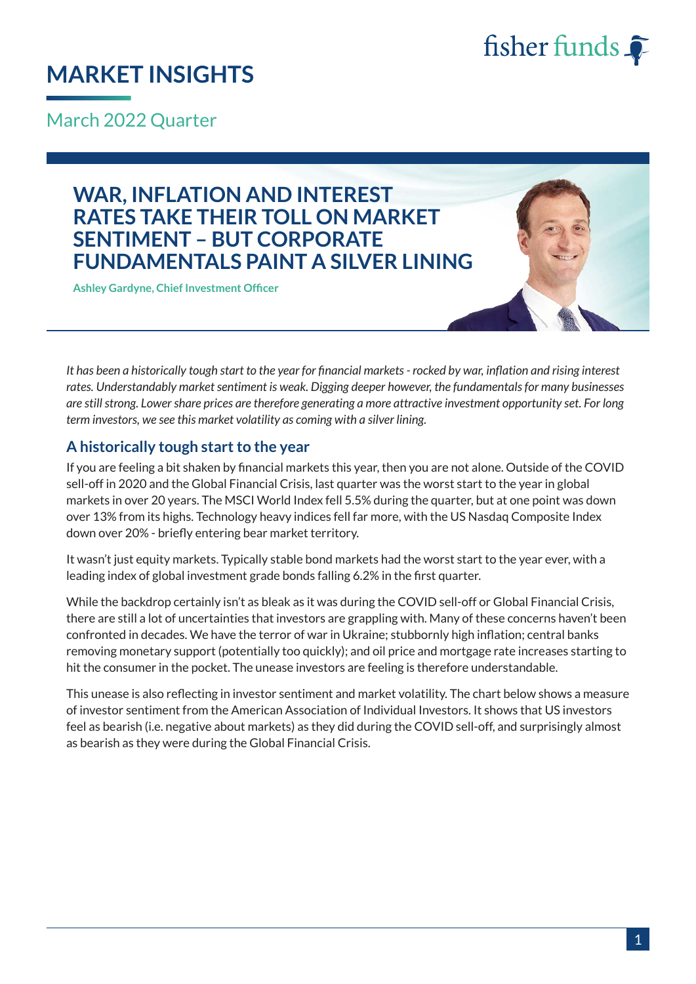

## **MARKET INSIGHTS**

March 2022 Quarter

### **WAR, INFLATION AND INTEREST RATES TAKE THEIR TOLL ON MARKET SENTIMENT – BUT CORPORATE FUNDAMENTALS PAINT A SILVER LINING**

**Ashley Gardyne, Chief Investment Officer**

*It has been a historically tough start to the year for financial markets - rocked by war, inflation and rising interest rates. Understandably market sentiment is weak. Digging deeper however, the fundamentals for many businesses are still strong. Lower share prices are therefore generating a more attractive investment opportunity set. For long term investors, we see this market volatility as coming with a silver lining.*

#### **A historically tough start to the year**

If you are feeling a bit shaken by financial markets this year, then you are not alone. Outside of the COVID sell-off in 2020 and the Global Financial Crisis, last quarter was the worst start to the year in global markets in over 20 years. The MSCI World Index fell 5.5% during the quarter, but at one point was down over 13% from its highs. Technology heavy indices fell far more, with the US Nasdaq Composite Index down over 20% - briefly entering bear market territory.

It wasn't just equity markets. Typically stable bond markets had the worst start to the year ever, with a leading index of global investment grade bonds falling 6.2% in the first quarter.

While the backdrop certainly isn't as bleak as it was during the COVID sell-off or Global Financial Crisis, there are still a lot of uncertainties that investors are grappling with. Many of these concerns haven't been confronted in decades. We have the terror of war in Ukraine; stubbornly high inflation; central banks removing monetary support (potentially too quickly); and oil price and mortgage rate increases starting to hit the consumer in the pocket. The unease investors are feeling is therefore understandable.

This unease is also reflecting in investor sentiment and market volatility. The chart below shows a measure of investor sentiment from the American Association of Individual Investors. It shows that US investors feel as bearish (i.e. negative about markets) as they did during the COVID sell-off, and surprisingly almost as bearish as they were during the Global Financial Crisis.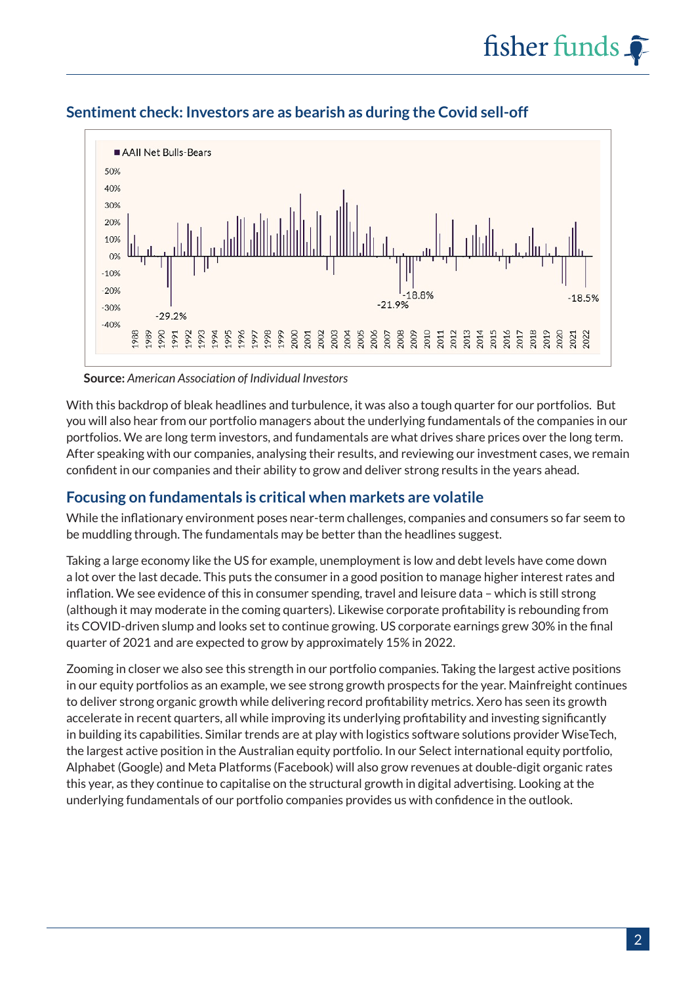

#### **Sentiment check: Investors are as bearish as during the Covid sell-off**

**Source:** *American Association of Individual Investors*

With this backdrop of bleak headlines and turbulence, it was also a tough quarter for our portfolios. But you will also hear from our portfolio managers about the underlying fundamentals of the companies in our portfolios. We are long term investors, and fundamentals are what drives share prices over the long term. After speaking with our companies, analysing their results, and reviewing our investment cases, we remain confident in our companies and their ability to grow and deliver strong results in the years ahead.

#### **Focusing on fundamentals is critical when markets are volatile**

While the inflationary environment poses near-term challenges, companies and consumers so far seem to be muddling through. The fundamentals may be better than the headlines suggest.

Taking a large economy like the US for example, unemployment is low and debt levels have come down a lot over the last decade. This puts the consumer in a good position to manage higher interest rates and inflation. We see evidence of this in consumer spending, travel and leisure data – which is still strong (although it may moderate in the coming quarters). Likewise corporate profitability is rebounding from its COVID-driven slump and looks set to continue growing. US corporate earnings grew 30% in the final quarter of 2021 and are expected to grow by approximately 15% in 2022.

Zooming in closer we also see this strength in our portfolio companies. Taking the largest active positions in our equity portfolios as an example, we see strong growth prospects for the year. Mainfreight continues to deliver strong organic growth while delivering record profitability metrics. Xero has seen its growth accelerate in recent quarters, all while improving its underlying profitability and investing significantly in building its capabilities. Similar trends are at play with logistics software solutions provider WiseTech, the largest active position in the Australian equity portfolio. In our Select international equity portfolio, Alphabet (Google) and Meta Platforms (Facebook) will also grow revenues at double-digit organic rates this year, as they continue to capitalise on the structural growth in digital advertising. Looking at the underlying fundamentals of our portfolio companies provides us with confidence in the outlook.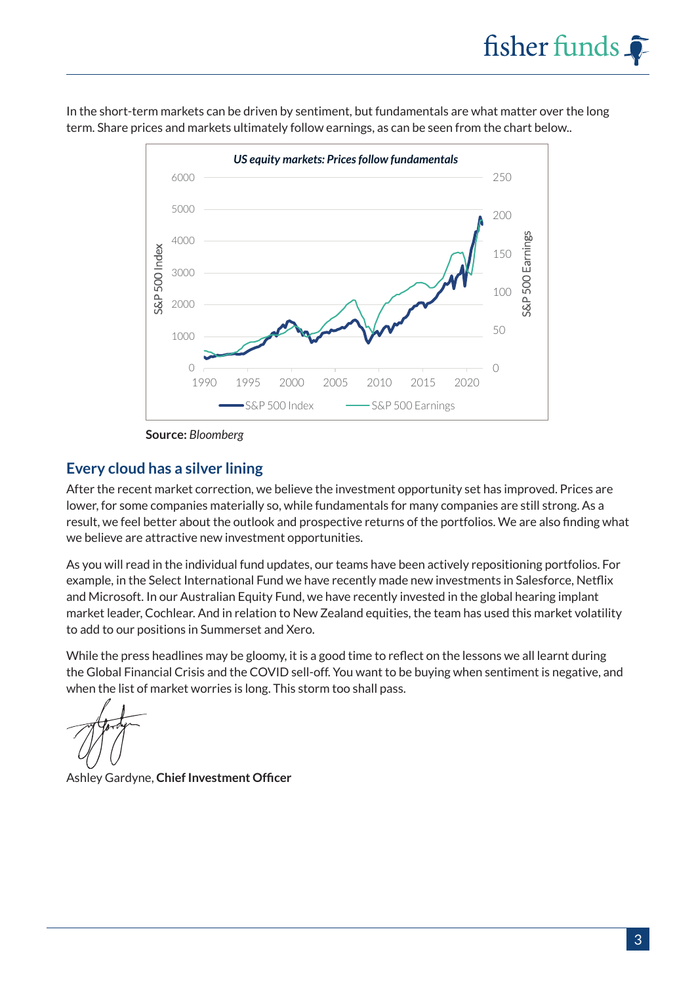In the short-term markets can be driven by sentiment, but fundamentals are what matter over the long term. Share prices and markets ultimately follow earnings, as can be seen from the chart below..



**Source:** *Bloomberg*

#### **Every cloud has a silver lining**

After the recent market correction, we believe the investment opportunity set has improved. Prices are lower, for some companies materially so, while fundamentals for many companies are still strong. As a result, we feel better about the outlook and prospective returns of the portfolios. We are also finding what we believe are attractive new investment opportunities.

As you will read in the individual fund updates, our teams have been actively repositioning portfolios. For example, in the Select International Fund we have recently made new investments in Salesforce, Netflix and Microsoft. In our Australian Equity Fund, we have recently invested in the global hearing implant market leader, Cochlear. And in relation to New Zealand equities, the team has used this market volatility to add to our positions in Summerset and Xero.

While the press headlines may be gloomy, it is a good time to reflect on the lessons we all learnt during the Global Financial Crisis and the COVID sell-off. You want to be buying when sentiment is negative, and when the list of market worries is long. This storm too shall pass.

Ashley Gardyne, **Chief Investment Officer**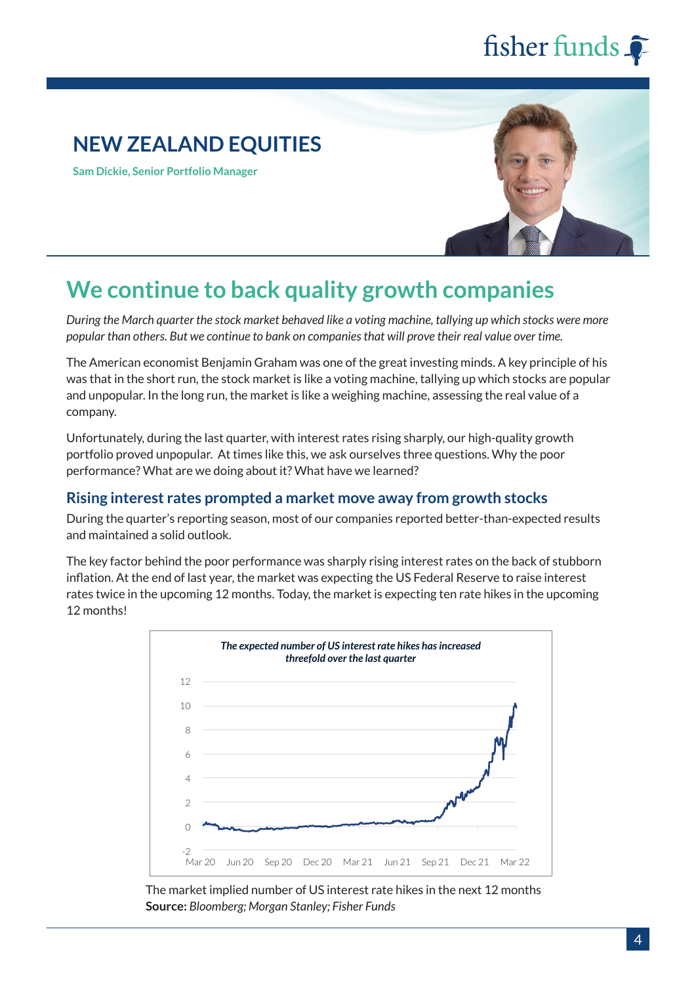### **NEW ZEALAND EQUITIES**

**Sam Dickie, Senior Portfolio Manager**



## **We continue to back quality growth companies**

*During the March quarter the stock market behaved like a voting machine, tallying up which stocks were more popular than others. But we continue to bank on companies that will prove their real value over time.* 

The American economist Benjamin Graham was one of the great investing minds. A key principle of his was that in the short run, the stock market is like a voting machine, tallying up which stocks are popular and unpopular. In the long run, the market is like a weighing machine, assessing the real value of a company.

Unfortunately, during the last quarter, with interest rates rising sharply, our high-quality growth portfolio proved unpopular. At times like this, we ask ourselves three questions. Why the poor performance? What are we doing about it? What have we learned?

#### **Rising interest rates prompted a market move away from growth stocks**

During the quarter's reporting season, most of our companies reported better-than-expected results and maintained a solid outlook.

The key factor behind the poor performance was sharply rising interest rates on the back of stubborn inflation. At the end of last year, the market was expecting the US Federal Reserve to raise interest rates twice in the upcoming 12 months. Today, the market is expecting ten rate hikes in the upcoming 12 months!



The market implied number of US interest rate hikes in the next 12 months **Source:** *Bloomberg; Morgan Stanley; Fisher Funds*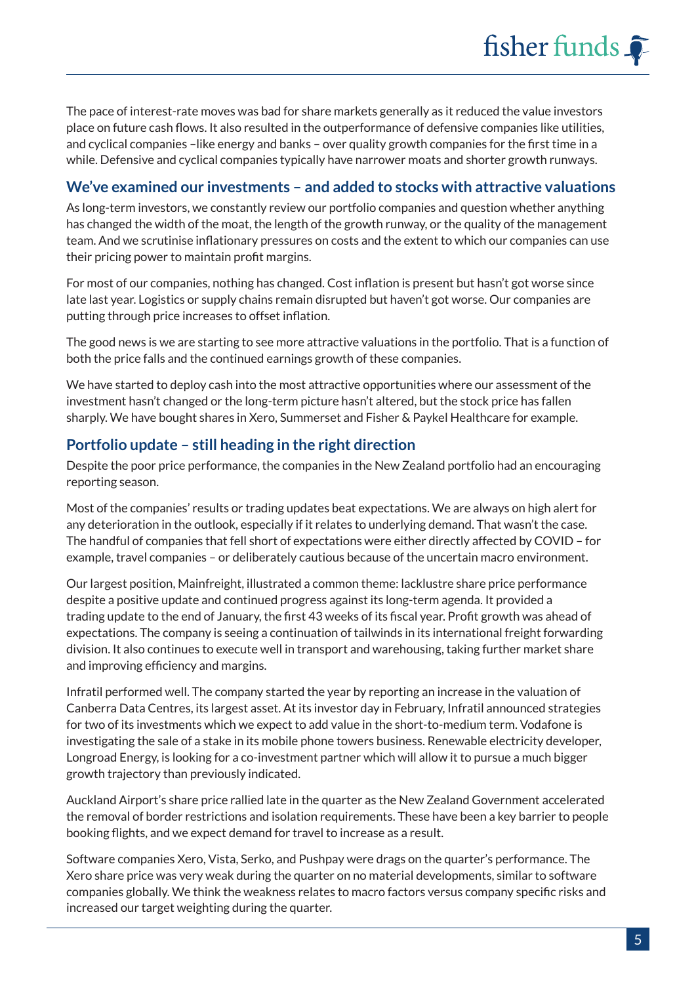The pace of interest-rate moves was bad for share markets generally as it reduced the value investors place on future cash flows. It also resulted in the outperformance of defensive companies like utilities, and cyclical companies –like energy and banks – over quality growth companies for the first time in a while. Defensive and cyclical companies typically have narrower moats and shorter growth runways.

#### **We've examined our investments – and added to stocks with attractive valuations**

As long-term investors, we constantly review our portfolio companies and question whether anything has changed the width of the moat, the length of the growth runway, or the quality of the management team. And we scrutinise inflationary pressures on costs and the extent to which our companies can use their pricing power to maintain profit margins.

For most of our companies, nothing has changed. Cost inflation is present but hasn't got worse since late last year. Logistics or supply chains remain disrupted but haven't got worse. Our companies are putting through price increases to offset inflation.

The good news is we are starting to see more attractive valuations in the portfolio. That is a function of both the price falls and the continued earnings growth of these companies.

We have started to deploy cash into the most attractive opportunities where our assessment of the investment hasn't changed or the long-term picture hasn't altered, but the stock price has fallen sharply. We have bought shares in Xero, Summerset and Fisher & Paykel Healthcare for example.

#### **Portfolio update – still heading in the right direction**

Despite the poor price performance, the companies in the New Zealand portfolio had an encouraging reporting season.

Most of the companies' results or trading updates beat expectations. We are always on high alert for any deterioration in the outlook, especially if it relates to underlying demand. That wasn't the case. The handful of companies that fell short of expectations were either directly affected by COVID – for example, travel companies – or deliberately cautious because of the uncertain macro environment.

Our largest position, Mainfreight, illustrated a common theme: lacklustre share price performance despite a positive update and continued progress against its long-term agenda. It provided a trading update to the end of January, the first 43 weeks of its fiscal year. Profit growth was ahead of expectations. The company is seeing a continuation of tailwinds in its international freight forwarding division. It also continues to execute well in transport and warehousing, taking further market share and improving efficiency and margins.

Infratil performed well. The company started the year by reporting an increase in the valuation of Canberra Data Centres, its largest asset. At its investor day in February, Infratil announced strategies for two of its investments which we expect to add value in the short-to-medium term. Vodafone is investigating the sale of a stake in its mobile phone towers business. Renewable electricity developer, Longroad Energy, is looking for a co-investment partner which will allow it to pursue a much bigger growth trajectory than previously indicated.

Auckland Airport's share price rallied late in the quarter as the New Zealand Government accelerated the removal of border restrictions and isolation requirements. These have been a key barrier to people booking flights, and we expect demand for travel to increase as a result.

Software companies Xero, Vista, Serko, and Pushpay were drags on the quarter's performance. The Xero share price was very weak during the quarter on no material developments, similar to software companies globally. We think the weakness relates to macro factors versus company specific risks and increased our target weighting during the quarter.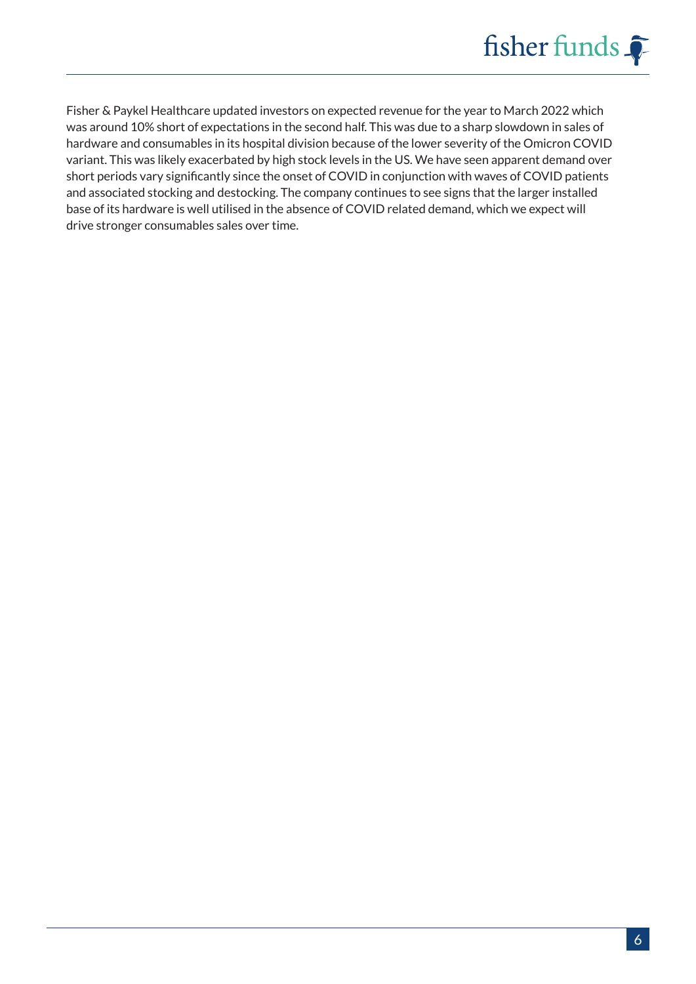

Fisher & Paykel Healthcare updated investors on expected revenue for the year to March 2022 which was around 10% short of expectations in the second half. This was due to a sharp slowdown in sales of hardware and consumables in its hospital division because of the lower severity of the Omicron COVID variant. This was likely exacerbated by high stock levels in the US. We have seen apparent demand over short periods vary significantly since the onset of COVID in conjunction with waves of COVID patients and associated stocking and destocking. The company continues to see signs that the larger installed base of its hardware is well utilised in the absence of COVID related demand, which we expect will drive stronger consumables sales over time.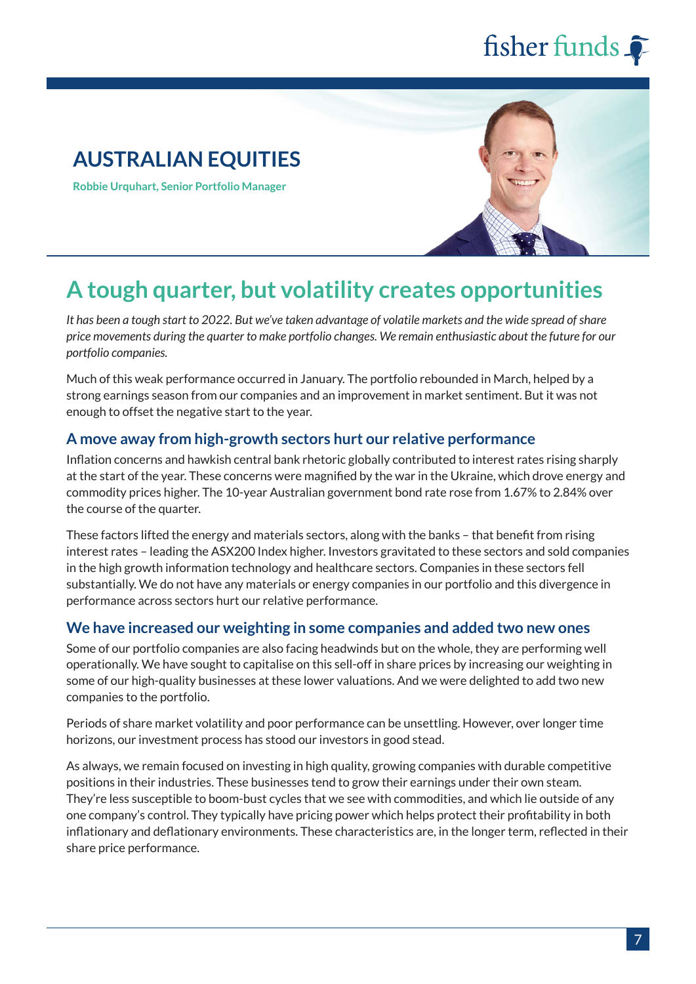## **AUSTRALIAN EQUITIES**

**Robbie Urquhart, Senior Portfolio Manager**



## **A tough quarter, but volatility creates opportunities**

*It has been a tough start to 2022. But we've taken advantage of volatile markets and the wide spread of share price movements during the quarter to make portfolio changes. We remain enthusiastic about the future for our portfolio companies.* 

Much of this weak performance occurred in January. The portfolio rebounded in March, helped by a strong earnings season from our companies and an improvement in market sentiment. But it was not enough to offset the negative start to the year.

#### **A move away from high-growth sectors hurt our relative performance**

Inflation concerns and hawkish central bank rhetoric globally contributed to interest rates rising sharply at the start of the year. These concerns were magnified by the war in the Ukraine, which drove energy and commodity prices higher. The 10-year Australian government bond rate rose from 1.67% to 2.84% over the course of the quarter.

These factors lifted the energy and materials sectors, along with the banks – that benefit from rising interest rates – leading the ASX200 Index higher. Investors gravitated to these sectors and sold companies in the high growth information technology and healthcare sectors. Companies in these sectors fell substantially. We do not have any materials or energy companies in our portfolio and this divergence in performance across sectors hurt our relative performance.

#### **We have increased our weighting in some companies and added two new ones**

Some of our portfolio companies are also facing headwinds but on the whole, they are performing well operationally. We have sought to capitalise on this sell-off in share prices by increasing our weighting in some of our high-quality businesses at these lower valuations. And we were delighted to add two new companies to the portfolio.

Periods of share market volatility and poor performance can be unsettling. However, over longer time horizons, our investment process has stood our investors in good stead.

As always, we remain focused on investing in high quality, growing companies with durable competitive positions in their industries. These businesses tend to grow their earnings under their own steam. They're less susceptible to boom-bust cycles that we see with commodities, and which lie outside of any one company's control. They typically have pricing power which helps protect their profitability in both inflationary and deflationary environments. These characteristics are, in the longer term, reflected in their share price performance.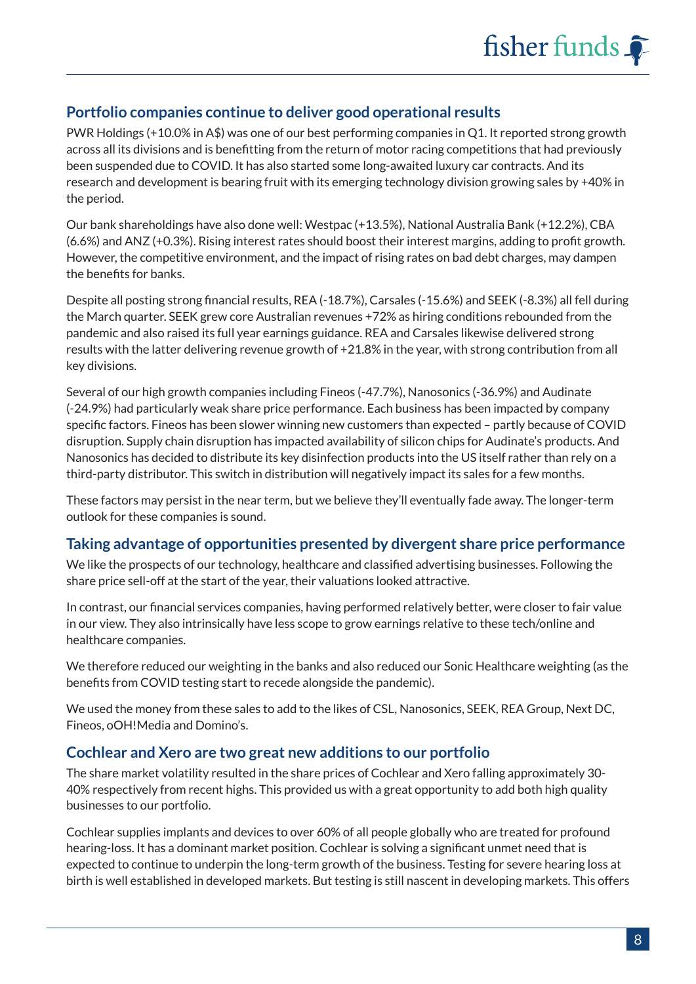#### **Portfolio companies continue to deliver good operational results**

PWR Holdings (+10.0% in A\$) was one of our best performing companies in Q1. It reported strong growth across all its divisions and is benefitting from the return of motor racing competitions that had previously been suspended due to COVID. It has also started some long-awaited luxury car contracts. And its research and development is bearing fruit with its emerging technology division growing sales by +40% in the period.

Our bank shareholdings have also done well: Westpac (+13.5%), National Australia Bank (+12.2%), CBA (6.6%) and ANZ (+0.3%). Rising interest rates should boost their interest margins, adding to profit growth. However, the competitive environment, and the impact of rising rates on bad debt charges, may dampen the benefits for banks.

Despite all posting strong financial results, REA (-18.7%), Carsales (-15.6%) and SEEK (-8.3%) all fell during the March quarter. SEEK grew core Australian revenues +72% as hiring conditions rebounded from the pandemic and also raised its full year earnings guidance. REA and Carsales likewise delivered strong results with the latter delivering revenue growth of +21.8% in the year, with strong contribution from all key divisions.

Several of our high growth companies including Fineos (-47.7%), Nanosonics (-36.9%) and Audinate (-24.9%) had particularly weak share price performance. Each business has been impacted by company specific factors. Fineos has been slower winning new customers than expected – partly because of COVID disruption. Supply chain disruption has impacted availability of silicon chips for Audinate's products. And Nanosonics has decided to distribute its key disinfection products into the US itself rather than rely on a third-party distributor. This switch in distribution will negatively impact its sales for a few months.

These factors may persist in the near term, but we believe they'll eventually fade away. The longer-term outlook for these companies is sound.

#### **Taking advantage of opportunities presented by divergent share price performance**

We like the prospects of our technology, healthcare and classified advertising businesses. Following the share price sell-off at the start of the year, their valuations looked attractive.

In contrast, our financial services companies, having performed relatively better, were closer to fair value in our view. They also intrinsically have less scope to grow earnings relative to these tech/online and healthcare companies.

We therefore reduced our weighting in the banks and also reduced our Sonic Healthcare weighting (as the benefits from COVID testing start to recede alongside the pandemic).

We used the money from these sales to add to the likes of CSL, Nanosonics, SEEK, REA Group, Next DC, Fineos, oOH!Media and Domino's.

#### **Cochlear and Xero are two great new additions to our portfolio**

The share market volatility resulted in the share prices of Cochlear and Xero falling approximately 30- 40% respectively from recent highs. This provided us with a great opportunity to add both high quality businesses to our portfolio.

Cochlear supplies implants and devices to over 60% of all people globally who are treated for profound hearing-loss. It has a dominant market position. Cochlear is solving a significant unmet need that is expected to continue to underpin the long-term growth of the business. Testing for severe hearing loss at birth is well established in developed markets. But testing is still nascent in developing markets. This offers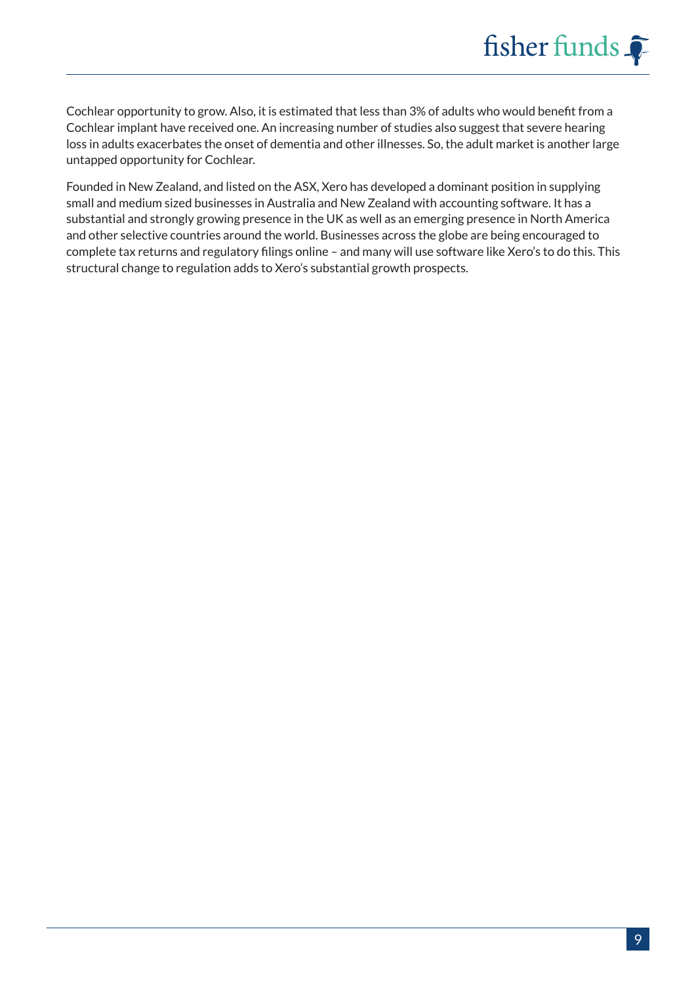Cochlear opportunity to grow. Also, it is estimated that less than 3% of adults who would benefit from a Cochlear implant have received one. An increasing number of studies also suggest that severe hearing loss in adults exacerbates the onset of dementia and other illnesses. So, the adult market is another large untapped opportunity for Cochlear.

Founded in New Zealand, and listed on the ASX, Xero has developed a dominant position in supplying small and medium sized businesses in Australia and New Zealand with accounting software. It has a substantial and strongly growing presence in the UK as well as an emerging presence in North America and other selective countries around the world. Businesses across the globe are being encouraged to complete tax returns and regulatory filings online – and many will use software like Xero's to do this. This structural change to regulation adds to Xero's substantial growth prospects.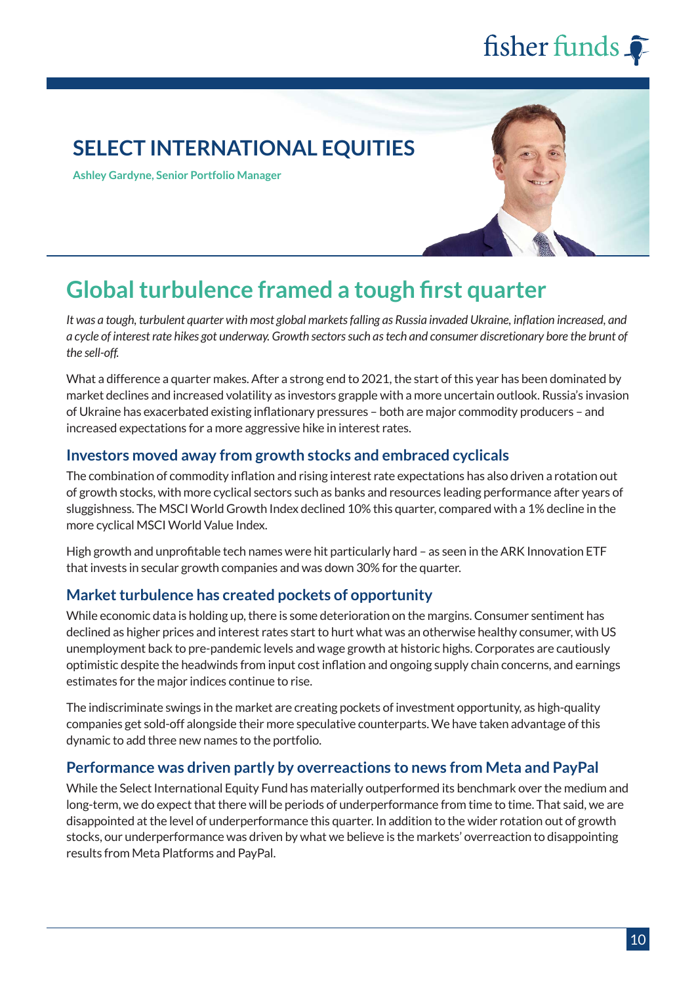### **SELECT INTERNATIONAL EQUITIES**

**Ashley Gardyne, Senior Portfolio Manager**



## **Global turbulence framed a tough first quarter**

*It was a tough, turbulent quarter with most global markets falling as Russia invaded Ukraine, inflation increased, and a cycle of interest rate hikes got underway. Growth sectors such as tech and consumer discretionary bore the brunt of the sell-off.*

What a difference a quarter makes. After a strong end to 2021, the start of this year has been dominated by market declines and increased volatility as investors grapple with a more uncertain outlook. Russia's invasion of Ukraine has exacerbated existing inflationary pressures – both are major commodity producers – and increased expectations for a more aggressive hike in interest rates.

#### **Investors moved away from growth stocks and embraced cyclicals**

The combination of commodity inflation and rising interest rate expectations has also driven a rotation out of growth stocks, with more cyclical sectors such as banks and resources leading performance after years of sluggishness. The MSCI World Growth Index declined 10% this quarter, compared with a 1% decline in the more cyclical MSCI World Value Index.

High growth and unprofitable tech names were hit particularly hard - as seen in the ARK Innovation ETF that invests in secular growth companies and was down 30% for the quarter.

#### **Market turbulence has created pockets of opportunity**

While economic data is holding up, there is some deterioration on the margins. Consumer sentiment has declined as higher prices and interest rates start to hurt what was an otherwise healthy consumer, with US unemployment back to pre-pandemic levels and wage growth at historic highs. Corporates are cautiously optimistic despite the headwinds from input cost inflation and ongoing supply chain concerns, and earnings estimates for the major indices continue to rise.

The indiscriminate swings in the market are creating pockets of investment opportunity, as high-quality companies get sold-off alongside their more speculative counterparts. We have taken advantage of this dynamic to add three new names to the portfolio.

#### **Performance was driven partly by overreactions to news from Meta and PayPal**

While the Select International Equity Fund has materially outperformed its benchmark over the medium and long-term, we do expect that there will be periods of underperformance from time to time. That said, we are disappointed at the level of underperformance this quarter. In addition to the wider rotation out of growth stocks, our underperformance was driven by what we believe is the markets' overreaction to disappointing results from Meta Platforms and PayPal.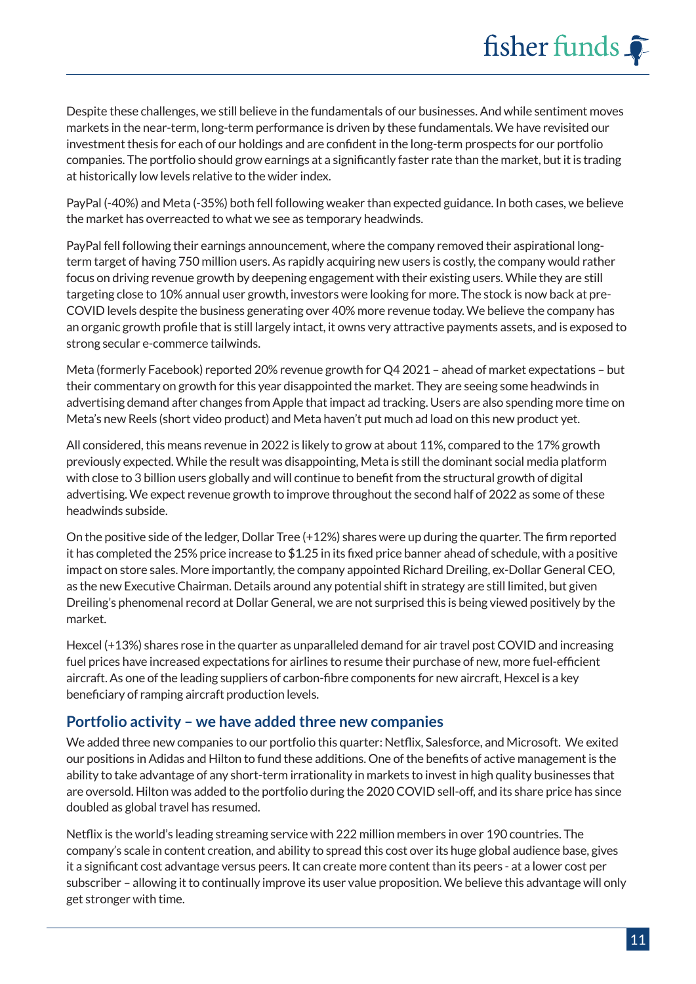Despite these challenges, we still believe in the fundamentals of our businesses. And while sentiment moves markets in the near-term, long-term performance is driven by these fundamentals. We have revisited our investment thesis for each of our holdings and are confident in the long-term prospects for our portfolio companies. The portfolio should grow earnings at a significantly faster rate than the market, but it is trading at historically low levels relative to the wider index.

PayPal (-40%) and Meta (-35%) both fell following weaker than expected guidance. In both cases, we believe the market has overreacted to what we see as temporary headwinds.

PayPal fell following their earnings announcement, where the company removed their aspirational longterm target of having 750 million users. As rapidly acquiring new users is costly, the company would rather focus on driving revenue growth by deepening engagement with their existing users. While they are still targeting close to 10% annual user growth, investors were looking for more. The stock is now back at pre-COVID levels despite the business generating over 40% more revenue today. We believe the company has an organic growth profile that is still largely intact, it owns very attractive payments assets, and is exposed to strong secular e-commerce tailwinds.

Meta (formerly Facebook) reported 20% revenue growth for Q4 2021 – ahead of market expectations – but their commentary on growth for this year disappointed the market. They are seeing some headwinds in advertising demand after changes from Apple that impact ad tracking. Users are also spending more time on Meta's new Reels (short video product) and Meta haven't put much ad load on this new product yet.

All considered, this means revenue in 2022 is likely to grow at about 11%, compared to the 17% growth previously expected. While the result was disappointing, Meta is still the dominant social media platform with close to 3 billion users globally and will continue to benefit from the structural growth of digital advertising. We expect revenue growth to improve throughout the second half of 2022 as some of these headwinds subside.

On the positive side of the ledger, Dollar Tree (+12%) shares were up during the quarter. The firm reported it has completed the 25% price increase to \$1.25 in its fixed price banner ahead of schedule, with a positive impact on store sales. More importantly, the company appointed Richard Dreiling, ex-Dollar General CEO, as the new Executive Chairman. Details around any potential shift in strategy are still limited, but given Dreiling's phenomenal record at Dollar General, we are not surprised this is being viewed positively by the market.

Hexcel (+13%) shares rose in the quarter as unparalleled demand for air travel post COVID and increasing fuel prices have increased expectations for airlines to resume their purchase of new, more fuel-efficient aircraft. As one of the leading suppliers of carbon-fibre components for new aircraft, Hexcel is a key beneficiary of ramping aircraft production levels.

#### **Portfolio activity – we have added three new companies**

We added three new companies to our portfolio this quarter: Netflix, Salesforce, and Microsoft. We exited our positions in Adidas and Hilton to fund these additions. One of the benefits of active management is the ability to take advantage of any short-term irrationality in markets to invest in high quality businesses that are oversold. Hilton was added to the portfolio during the 2020 COVID sell-off, and its share price has since doubled as global travel has resumed.

Netflix is the world's leading streaming service with 222 million members in over 190 countries. The company's scale in content creation, and ability to spread this cost over its huge global audience base, gives it a significant cost advantage versus peers. It can create more content than its peers - at a lower cost per subscriber – allowing it to continually improve its user value proposition. We believe this advantage will only get stronger with time.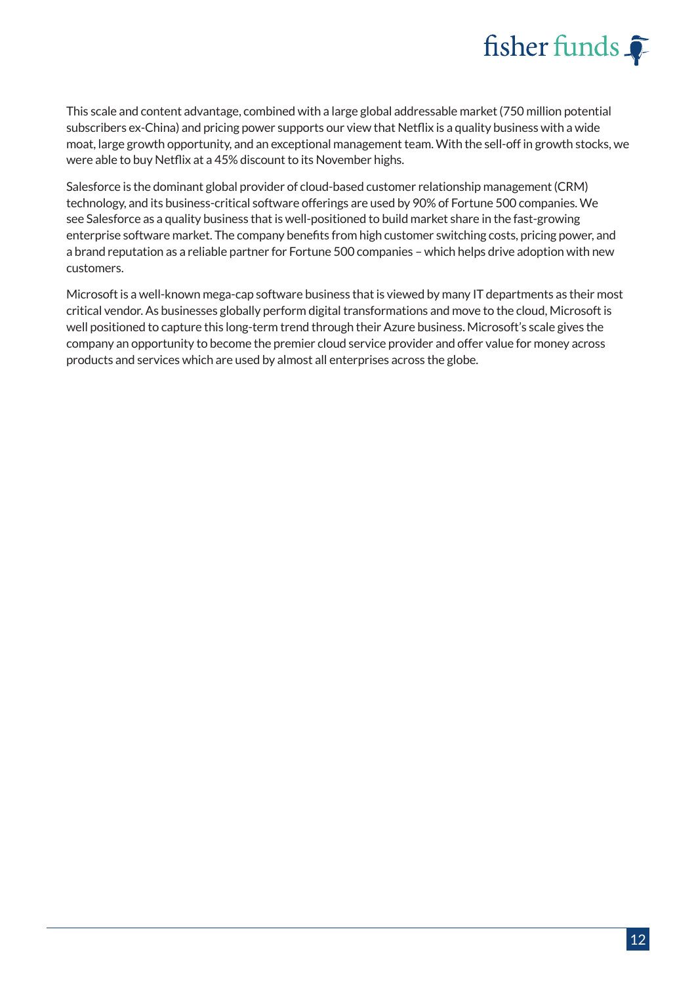

This scale and content advantage, combined with a large global addressable market (750 million potential subscribers ex-China) and pricing power supports our view that Netflix is a quality business with a wide moat, large growth opportunity, and an exceptional management team. With the sell-off in growth stocks, we were able to buy Netflix at a 45% discount to its November highs.

Salesforce is the dominant global provider of cloud-based customer relationship management (CRM) technology, and its business-critical software offerings are used by 90% of Fortune 500 companies. We see Salesforce as a quality business that is well-positioned to build market share in the fast-growing enterprise software market. The company benefits from high customer switching costs, pricing power, and a brand reputation as a reliable partner for Fortune 500 companies – which helps drive adoption with new customers.

Microsoft is a well-known mega-cap software business that is viewed by many IT departments as their most critical vendor. As businesses globally perform digital transformations and move to the cloud, Microsoft is well positioned to capture this long-term trend through their Azure business. Microsoft's scale gives the company an opportunity to become the premier cloud service provider and offer value for money across products and services which are used by almost all enterprises across the globe.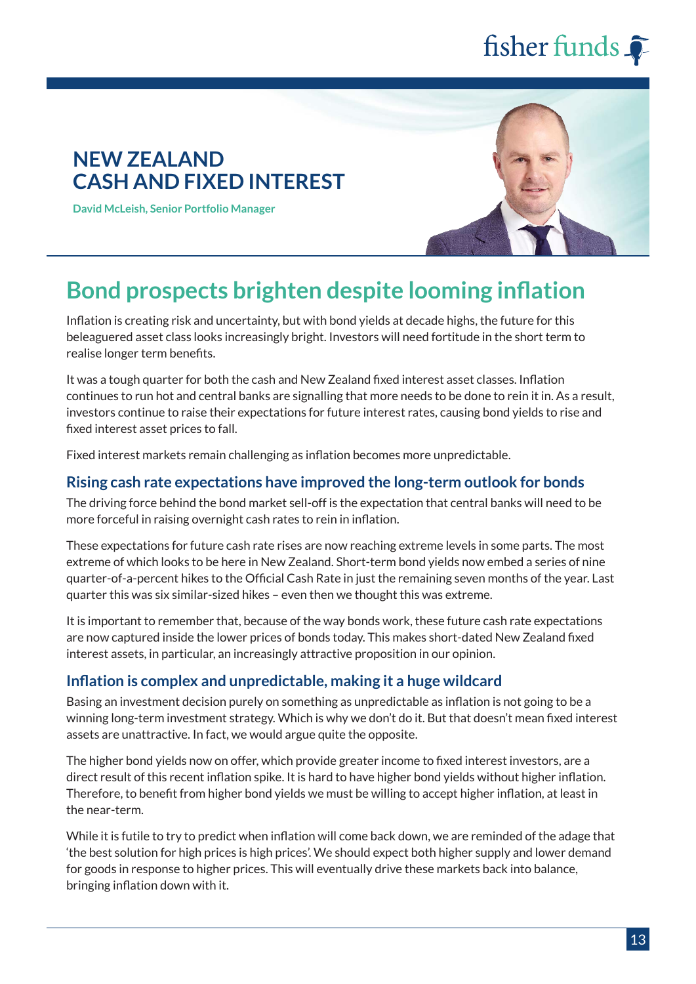### **NEW ZEALAND CASH AND FIXED INTEREST**

**David McLeish, Senior Portfolio Manager**



## **Bond prospects brighten despite looming inflation**

Inflation is creating risk and uncertainty, but with bond yields at decade highs, the future for this beleaguered asset class looks increasingly bright. Investors will need fortitude in the short term to realise longer term benefits.

It was a tough quarter for both the cash and New Zealand fixed interest asset classes. Inflation continues to run hot and central banks are signalling that more needs to be done to rein it in. As a result, investors continue to raise their expectations for future interest rates, causing bond yields to rise and fixed interest asset prices to fall.

Fixed interest markets remain challenging as inflation becomes more unpredictable.

#### **Rising cash rate expectations have improved the long-term outlook for bonds**

The driving force behind the bond market sell-off is the expectation that central banks will need to be more forceful in raising overnight cash rates to rein in inflation.

These expectations for future cash rate rises are now reaching extreme levels in some parts. The most extreme of which looks to be here in New Zealand. Short-term bond yields now embed a series of nine quarter-of-a-percent hikes to the Official Cash Rate in just the remaining seven months of the year. Last quarter this was six similar-sized hikes – even then we thought this was extreme.

It is important to remember that, because of the way bonds work, these future cash rate expectations are now captured inside the lower prices of bonds today. This makes short-dated New Zealand fixed interest assets, in particular, an increasingly attractive proposition in our opinion.

#### **Inflation is complex and unpredictable, making it a huge wildcard**

Basing an investment decision purely on something as unpredictable as inflation is not going to be a winning long-term investment strategy. Which is why we don't do it. But that doesn't mean fixed interest assets are unattractive. In fact, we would argue quite the opposite.

The higher bond yields now on offer, which provide greater income to fixed interest investors, are a direct result of this recent inflation spike. It is hard to have higher bond yields without higher inflation. Therefore, to benefit from higher bond yields we must be willing to accept higher inflation, at least in the near-term.

While it is futile to try to predict when inflation will come back down, we are reminded of the adage that 'the best solution for high prices is high prices'. We should expect both higher supply and lower demand for goods in response to higher prices. This will eventually drive these markets back into balance, bringing inflation down with it.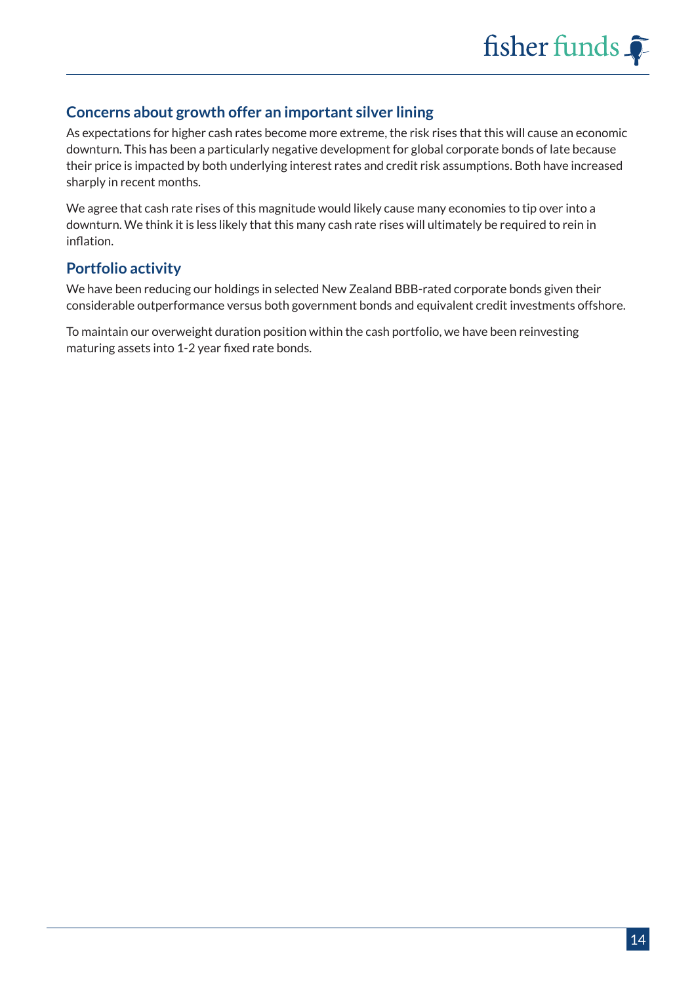#### **Concerns about growth offer an important silver lining**

As expectations for higher cash rates become more extreme, the risk rises that this will cause an economic downturn. This has been a particularly negative development for global corporate bonds of late because their price is impacted by both underlying interest rates and credit risk assumptions. Both have increased sharply in recent months.

We agree that cash rate rises of this magnitude would likely cause many economies to tip over into a downturn. We think it is less likely that this many cash rate rises will ultimately be required to rein in inflation.

#### **Portfolio activity**

We have been reducing our holdings in selected New Zealand BBB-rated corporate bonds given their considerable outperformance versus both government bonds and equivalent credit investments offshore.

To maintain our overweight duration position within the cash portfolio, we have been reinvesting maturing assets into 1-2 year fixed rate bonds.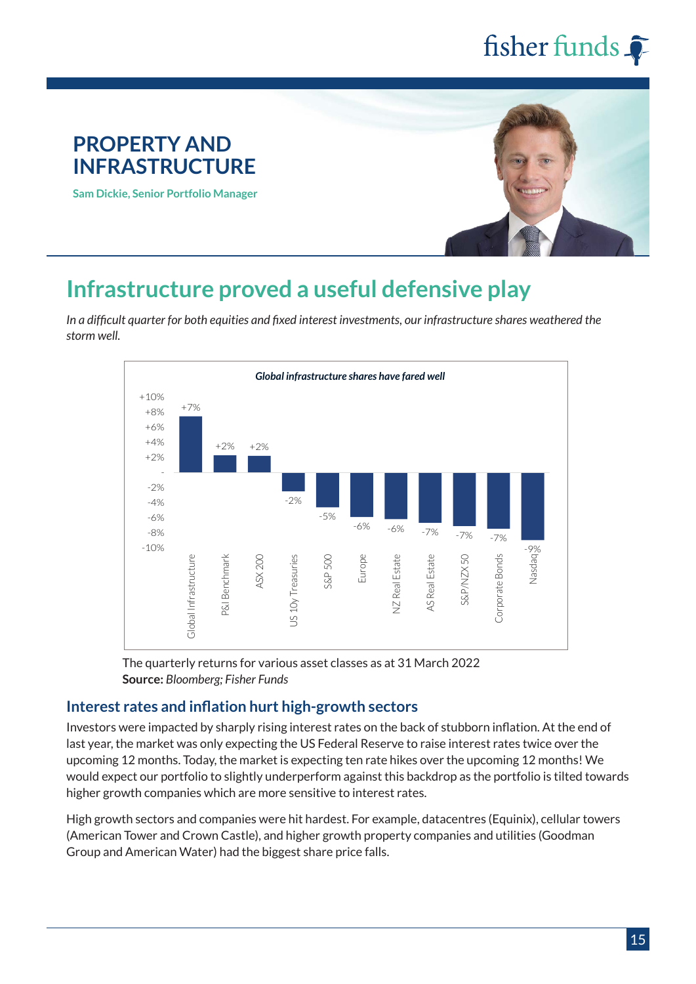# **PROPERTY AND INFRASTRUCTURE Sam Dickie, Senior Portfolio Manager**

## **Infrastructure proved a useful defensive play**

*In a difficult quarter for both equities and fixed interest investments, our infrastructure shares weathered the storm well.*



The quarterly returns for various asset classes as at 31 March 2022 **Source:** *Bloomberg; Fisher Funds*

#### **Interest rates and inflation hurt high-growth sectors**

Investors were impacted by sharply rising interest rates on the back of stubborn inflation. At the end of last year, the market was only expecting the US Federal Reserve to raise interest rates twice over the upcoming 12 months. Today, the market is expecting ten rate hikes over the upcoming 12 months! We would expect our portfolio to slightly underperform against this backdrop as the portfolio is tilted towards higher growth companies which are more sensitive to interest rates.

High growth sectors and companies were hit hardest. For example, datacentres (Equinix), cellular towers (American Tower and Crown Castle), and higher growth property companies and utilities (Goodman Group and American Water) had the biggest share price falls.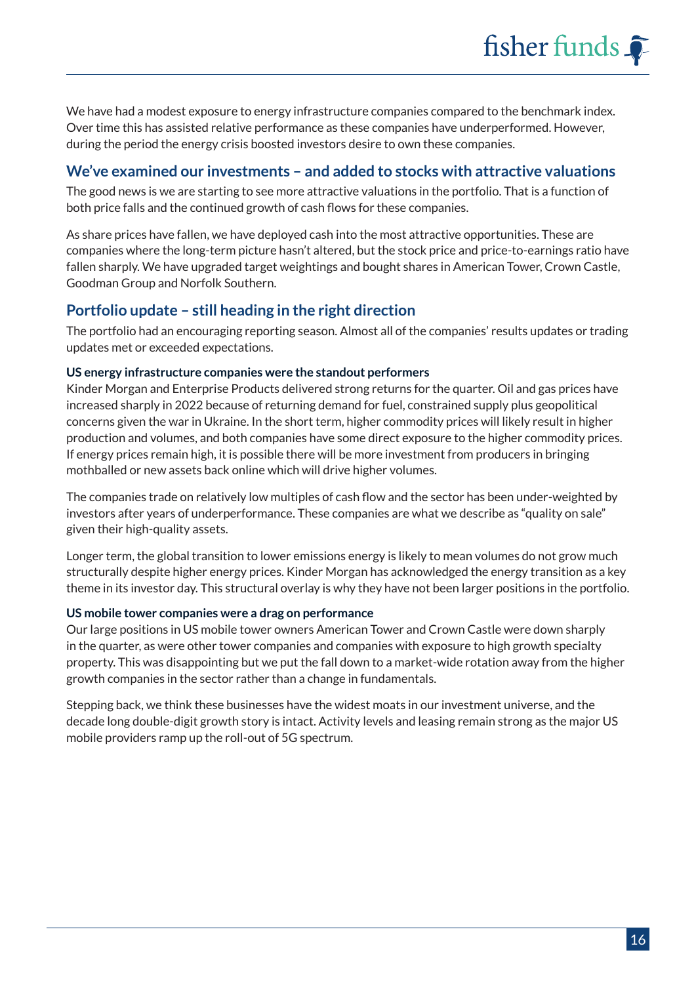We have had a modest exposure to energy infrastructure companies compared to the benchmark index. Over time this has assisted relative performance as these companies have underperformed. However, during the period the energy crisis boosted investors desire to own these companies.

#### **We've examined our investments – and added to stocks with attractive valuations**

The good news is we are starting to see more attractive valuations in the portfolio. That is a function of both price falls and the continued growth of cash flows for these companies.

As share prices have fallen, we have deployed cash into the most attractive opportunities. These are companies where the long-term picture hasn't altered, but the stock price and price-to-earnings ratio have fallen sharply. We have upgraded target weightings and bought shares in American Tower, Crown Castle, Goodman Group and Norfolk Southern.

#### **Portfolio update – still heading in the right direction**

The portfolio had an encouraging reporting season. Almost all of the companies' results updates or trading updates met or exceeded expectations.

#### **US energy infrastructure companies were the standout performers**

Kinder Morgan and Enterprise Products delivered strong returns for the quarter. Oil and gas prices have increased sharply in 2022 because of returning demand for fuel, constrained supply plus geopolitical concerns given the war in Ukraine. In the short term, higher commodity prices will likely result in higher production and volumes, and both companies have some direct exposure to the higher commodity prices. If energy prices remain high, it is possible there will be more investment from producers in bringing mothballed or new assets back online which will drive higher volumes.

The companies trade on relatively low multiples of cash flow and the sector has been under-weighted by investors after years of underperformance. These companies are what we describe as "quality on sale" given their high-quality assets.

Longer term, the global transition to lower emissions energy is likely to mean volumes do not grow much structurally despite higher energy prices. Kinder Morgan has acknowledged the energy transition as a key theme in its investor day. This structural overlay is why they have not been larger positions in the portfolio.

#### **US mobile tower companies were a drag on performance**

Our large positions in US mobile tower owners American Tower and Crown Castle were down sharply in the quarter, as were other tower companies and companies with exposure to high growth specialty property. This was disappointing but we put the fall down to a market-wide rotation away from the higher growth companies in the sector rather than a change in fundamentals.

Stepping back, we think these businesses have the widest moats in our investment universe, and the decade long double-digit growth story is intact. Activity levels and leasing remain strong as the major US mobile providers ramp up the roll-out of 5G spectrum.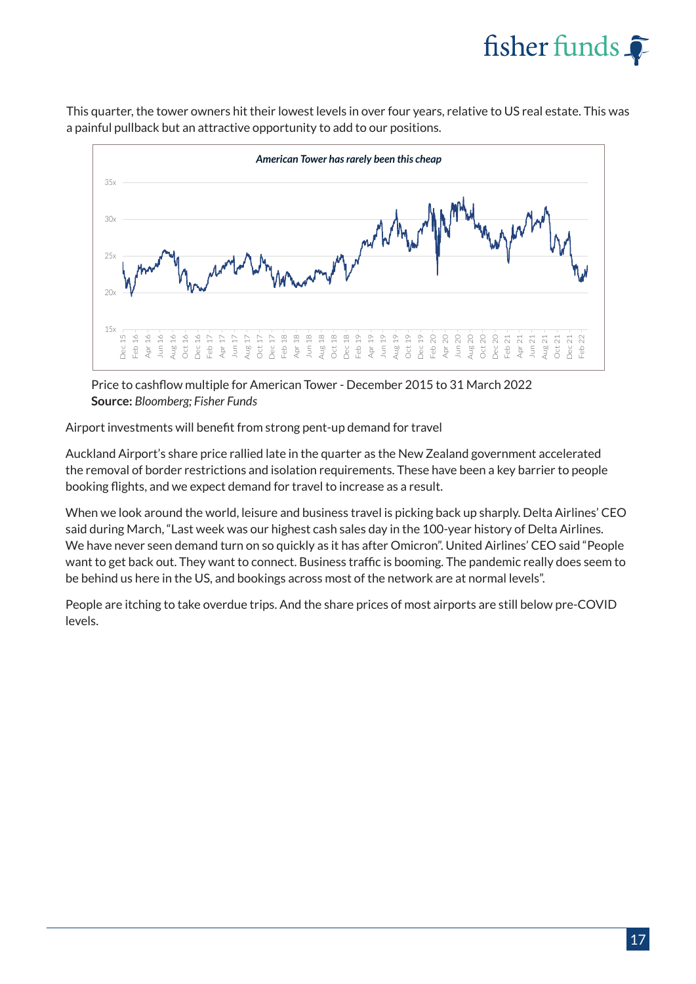

This quarter, the tower owners hit their lowest levels in over four years, relative to US real estate. This was a painful pullback but an attractive opportunity to add to our positions.



Price to cashflow multiple for American Tower - December 2015 to 31 March 2022 **Source:** *Bloomberg; Fisher Funds*

Airport investments will benefit from strong pent-up demand for travel

Auckland Airport's share price rallied late in the quarter as the New Zealand government accelerated the removal of border restrictions and isolation requirements. These have been a key barrier to people booking flights, and we expect demand for travel to increase as a result.

When we look around the world, leisure and business travel is picking back up sharply. Delta Airlines' CEO said during March, "Last week was our highest cash sales day in the 100-year history of Delta Airlines. We have never seen demand turn on so quickly as it has after Omicron". United Airlines' CEO said "People want to get back out. They want to connect. Business traffic is booming. The pandemic really does seem to be behind us here in the US, and bookings across most of the network are at normal levels".

People are itching to take overdue trips. And the share prices of most airports are still below pre-COVID levels.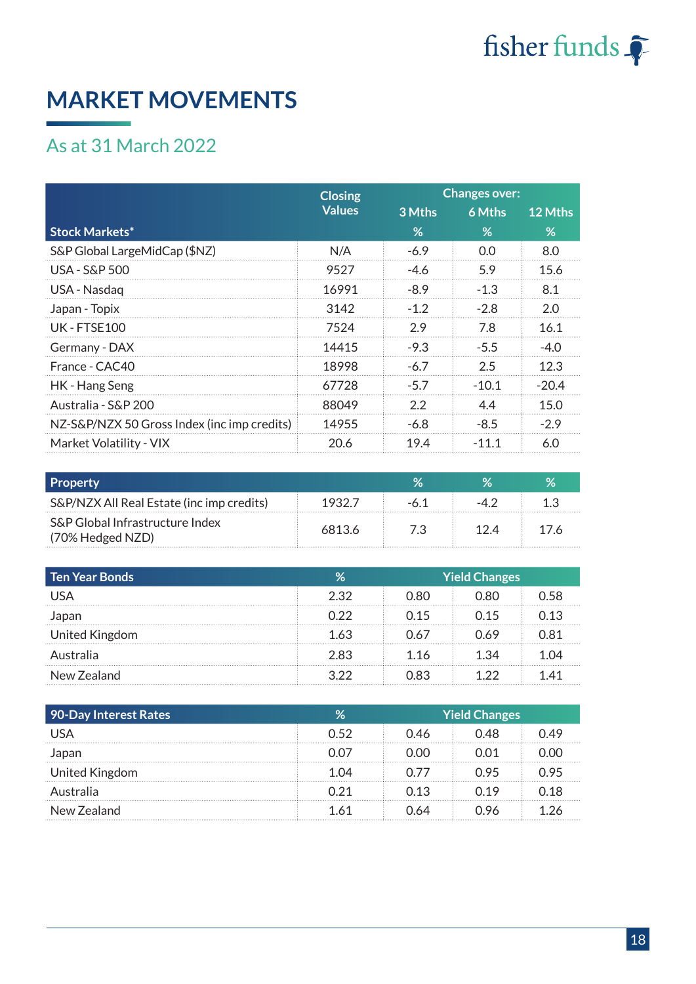

## **MARKET MOVEMENTS**

### As at 31 March 2022

|                                             | <b>Closing</b> | <b>Changes over:</b> |         |         |  |
|---------------------------------------------|----------------|----------------------|---------|---------|--|
|                                             | <b>Values</b>  | 3 Mths               | 6 Mths  | 12 Mths |  |
| <b>Stock Markets*</b>                       |                | %                    | %       | %       |  |
| S&P Global LargeMidCap (\$NZ)               | N/A            | $-6.9$               | 0.0     | 8.0     |  |
| USA - S&P 500                               | 9527           | $-4.6$               | 5.9     | 15.6    |  |
| USA - Nasdag                                | 16991          | $-8.9$               | $-1.3$  | 8.1     |  |
| Japan - Topix                               | 3142           | $-1.2$               | $-2.8$  | 2.0     |  |
| <b>UK-FTSF100</b>                           | 7524           | 2.9                  | 7.8     | 16.1    |  |
| Germany - DAX                               | 14415          | $-9.3$               | $-5.5$  | $-4.0$  |  |
| France - CAC40                              | 18998          | $-6.7$               | 2.5     | 12.3    |  |
| HK - Hang Seng                              | 67728          | $-5.7$               | $-10.1$ | $-20.4$ |  |
| Australia - S&P 200                         | 88049          | 2.2                  | 44      | 15.0    |  |
| NZ-S&P/NZX 50 Gross Index (inc imp credits) | 14955          | $-6.8$               | $-8.5$  | $-2.9$  |  |
| Market Volatility - VIX                     | 20.6           | 19.4                 | $-11.1$ | 6.0     |  |

| <b>Property</b>                                     |        |     |  |
|-----------------------------------------------------|--------|-----|--|
| S&P/NZX All Real Estate (inc imp credits)           | 1932.7 |     |  |
| S&P Global Infrastructure Index<br>(70% Hedged NZD) | 68136  | ヿソユ |  |

| Ten Year Bonds | Zσ   | Yield Changes |      |       |
|----------------|------|---------------|------|-------|
| USA            | 2.32 | 0.80          | 0.80 | ่า 58 |
| Japan          | በ 22 | በ 15          | 0.15 | 0.13  |
| United Kingdom | 1.63 | 0.67          | 0.69 | N 81  |
| Australia      | 2.83 | 1.16          | 1.34 | 1 ()4 |
| New Zealand    | 3 22 | 0.83          | つつ   | -41   |

| 90-Day Interest Rates |      | <b>Yield Changes</b> |    |  |
|-----------------------|------|----------------------|----|--|
|                       | በ 52 | 14K                  |    |  |
| Japan                 |      |                      |    |  |
| United Kingdom        |      |                      |    |  |
| Australia             | ነ 21 | 13                   | 19 |  |
| New Zealand           |      |                      |    |  |